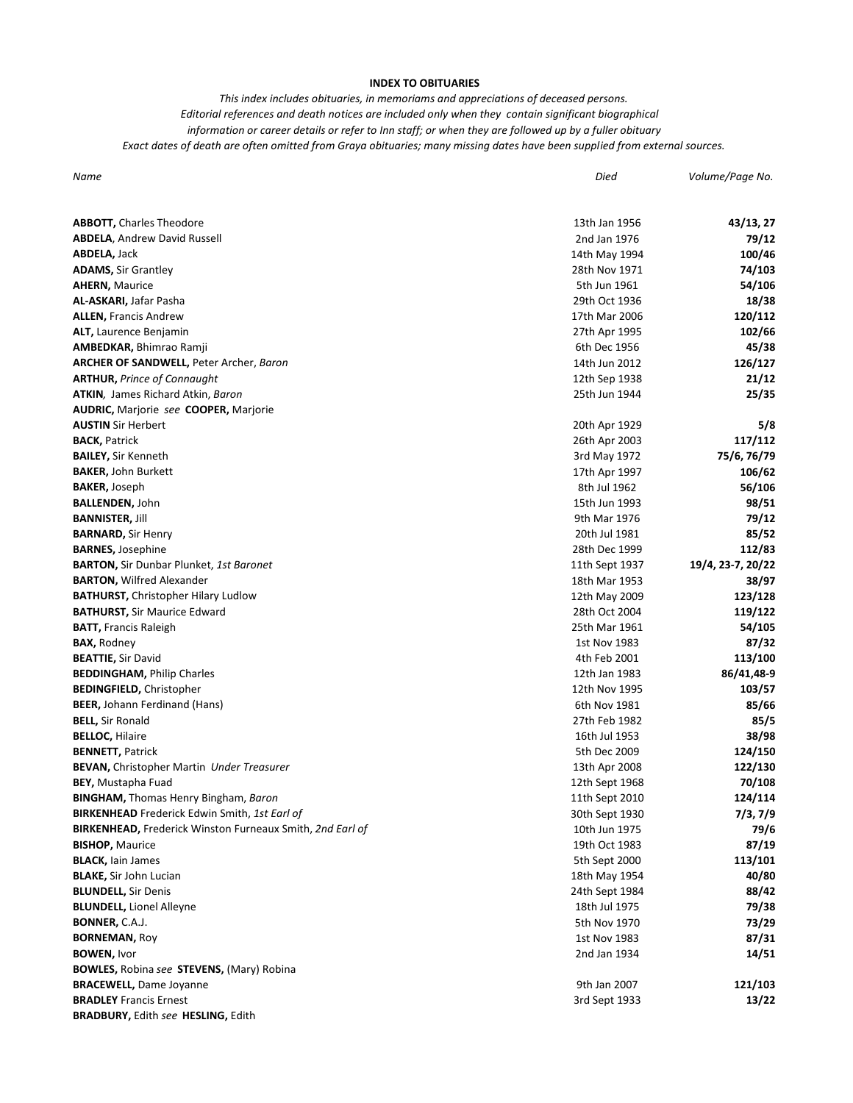## **INDEX TO OBITUARIES**

## *This index includes obituaries, in memoriams and appreciations of deceased persons. Editorial references and death notices are included only when they contain significant biographical information or career details or refer to Inn staff; or when they are followed up by a fuller obituary Exact dates of death are often omitted from Graya obituaries; many missing dates have been supplied from external sources.*

| Name                                                      | Died           | Volume/Page No.   |
|-----------------------------------------------------------|----------------|-------------------|
|                                                           |                |                   |
| <b>ABBOTT, Charles Theodore</b>                           | 13th Jan 1956  | 43/13, 27         |
| <b>ABDELA, Andrew David Russell</b>                       | 2nd Jan 1976   | 79/12             |
| <b>ABDELA, Jack</b>                                       | 14th May 1994  | 100/46            |
| <b>ADAMS, Sir Grantley</b>                                | 28th Nov 1971  | 74/103            |
| <b>AHERN, Maurice</b>                                     | 5th Jun 1961   | 54/106            |
| AL-ASKARI, Jafar Pasha                                    | 29th Oct 1936  | 18/38             |
| <b>ALLEN, Francis Andrew</b>                              | 17th Mar 2006  | 120/112           |
| <b>ALT, Laurence Benjamin</b>                             | 27th Apr 1995  | 102/66            |
| <b>AMBEDKAR, Bhimrao Ramji</b>                            | 6th Dec 1956   | 45/38             |
| <b>ARCHER OF SANDWELL, Peter Archer, Baron</b>            | 14th Jun 2012  | 126/127           |
| <b>ARTHUR, Prince of Connaught</b>                        | 12th Sep 1938  | 21/12             |
| ATKIN, James Richard Atkin, Baron                         | 25th Jun 1944  | 25/35             |
| <b>AUDRIC, Marjorie see COOPER, Marjorie</b>              |                |                   |
| <b>AUSTIN</b> Sir Herbert                                 | 20th Apr 1929  | 5/8               |
| <b>BACK, Patrick</b>                                      | 26th Apr 2003  | 117/112           |
| <b>BAILEY, Sir Kenneth</b>                                | 3rd May 1972   | 75/6, 76/79       |
| <b>BAKER, John Burkett</b>                                | 17th Apr 1997  | 106/62            |
| <b>BAKER, Joseph</b>                                      | 8th Jul 1962   | 56/106            |
| <b>BALLENDEN, John</b>                                    | 15th Jun 1993  | 98/51             |
| <b>BANNISTER, Jill</b>                                    | 9th Mar 1976   | 79/12             |
| <b>BARNARD, Sir Henry</b>                                 | 20th Jul 1981  | 85/52             |
| <b>BARNES, Josephine</b>                                  | 28th Dec 1999  | 112/83            |
| <b>BARTON, Sir Dunbar Plunket, 1st Baronet</b>            | 11th Sept 1937 | 19/4, 23-7, 20/22 |
| <b>BARTON, Wilfred Alexander</b>                          | 18th Mar 1953  | 38/97             |
| <b>BATHURST, Christopher Hilary Ludlow</b>                | 12th May 2009  | 123/128           |
| <b>BATHURST, Sir Maurice Edward</b>                       | 28th Oct 2004  | 119/122           |
| <b>BATT, Francis Raleigh</b>                              | 25th Mar 1961  | 54/105            |
| <b>BAX, Rodney</b>                                        | 1st Nov 1983   | 87/32             |
| <b>BEATTIE, Sir David</b>                                 | 4th Feb 2001   | 113/100           |
| <b>BEDDINGHAM, Philip Charles</b>                         | 12th Jan 1983  | 86/41,48-9        |
| <b>BEDINGFIELD, Christopher</b>                           | 12th Nov 1995  | 103/57            |
| <b>BEER, Johann Ferdinand (Hans)</b>                      | 6th Nov 1981   | 85/66             |
| <b>BELL, Sir Ronald</b>                                   | 27th Feb 1982  | 85/5              |
| <b>BELLOC, Hilaire</b>                                    | 16th Jul 1953  | 38/98             |
| <b>BENNETT, Patrick</b>                                   | 5th Dec 2009   | 124/150           |
| <b>BEVAN, Christopher Martin Under Treasurer</b>          | 13th Apr 2008  | 122/130           |
| <b>BEY, Mustapha Fuad</b>                                 | 12th Sept 1968 | 70/108            |
| <b>BINGHAM, Thomas Henry Bingham, Baron</b>               | 11th Sept 2010 | 124/114           |
| <b>BIRKENHEAD</b> Frederick Edwin Smith, 1st Earl of      | 30th Sept 1930 | 7/3, 7/9          |
| BIRKENHEAD, Frederick Winston Furneaux Smith, 2nd Earl of | 10th Jun 1975  | 79/6              |
| <b>BISHOP, Maurice</b>                                    | 19th Oct 1983  | 87/19             |
| <b>BLACK, lain James</b>                                  | 5th Sept 2000  | 113/101           |
| <b>BLAKE, Sir John Lucian</b>                             | 18th May 1954  | 40/80             |
| <b>BLUNDELL, Sir Denis</b>                                | 24th Sept 1984 | 88/42             |
| <b>BLUNDELL, Lionel Alleyne</b>                           | 18th Jul 1975  | 79/38             |
| BONNER, C.A.J.                                            | 5th Nov 1970   | 73/29             |
| <b>BORNEMAN, Roy</b>                                      | 1st Nov 1983   | 87/31             |
| <b>BOWEN, Ivor</b>                                        | 2nd Jan 1934   | 14/51             |
| <b>BOWLES, Robina see STEVENS, (Mary) Robina</b>          |                |                   |
| <b>BRACEWELL, Dame Joyanne</b>                            | 9th Jan 2007   | 121/103           |
| <b>BRADLEY Francis Ernest</b>                             | 3rd Sept 1933  | 13/22             |
| BRADBURY, Edith see HESLING, Edith                        |                |                   |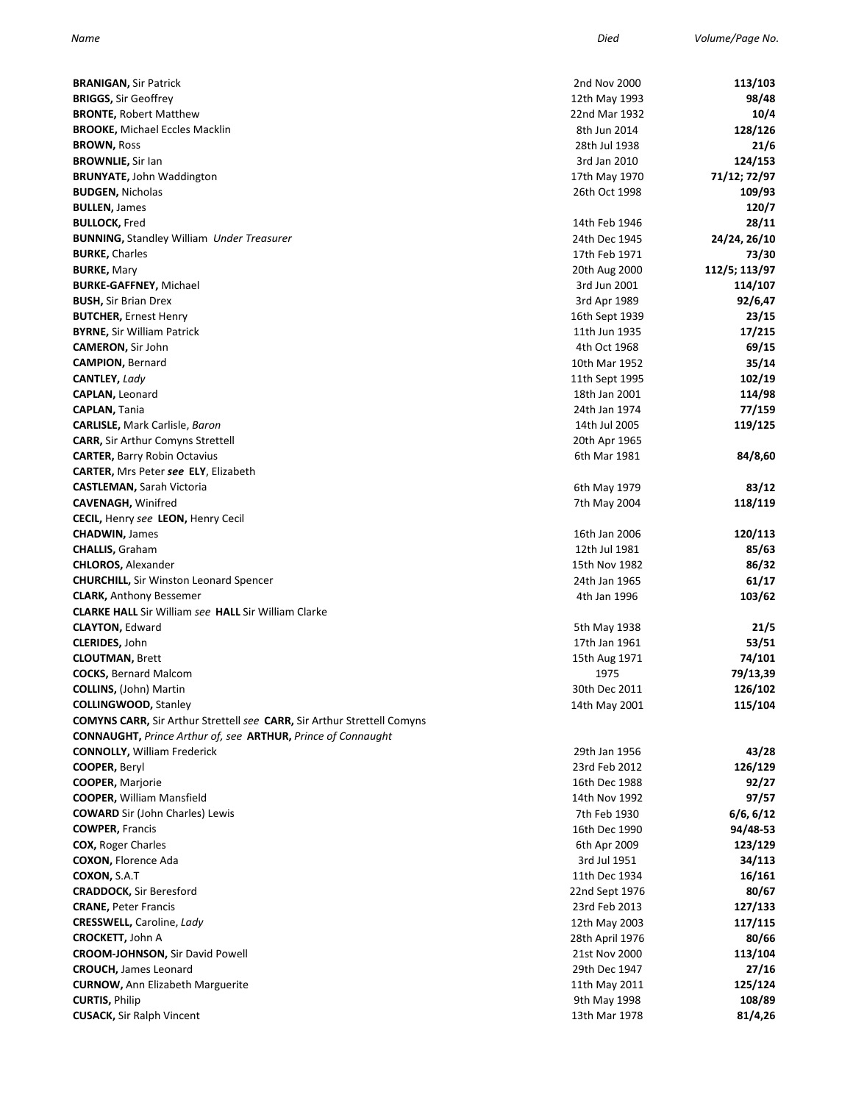| <b>BRANIGAN, Sir Patrick</b>                                                   | 2nd Nov 2000                    | 113/103            |
|--------------------------------------------------------------------------------|---------------------------------|--------------------|
| <b>BRIGGS, Sir Geoffrey</b>                                                    | 12th May 1993                   | 98/48              |
| <b>BRONTE, Robert Matthew</b>                                                  | 22nd Mar 1932                   | 10/4               |
| <b>BROOKE, Michael Eccles Macklin</b>                                          | 8th Jun 2014                    | 128/126            |
| <b>BROWN, Ross</b>                                                             | 28th Jul 1938                   | 21/6               |
| <b>BROWNLIE, Sir lan</b>                                                       | 3rd Jan 2010                    | 124/153            |
| <b>BRUNYATE, John Waddington</b>                                               | 17th May 1970                   | 71/12; 72/97       |
| <b>BUDGEN, Nicholas</b>                                                        | 26th Oct 1998                   | 109/93             |
| <b>BULLEN, James</b>                                                           |                                 | 120/7              |
| <b>BULLOCK, Fred</b>                                                           | 14th Feb 1946                   | 28/11              |
| <b>BUNNING, Standley William Under Treasurer</b>                               | 24th Dec 1945                   | 24/24, 26/10       |
| <b>BURKE, Charles</b>                                                          | 17th Feb 1971                   | 73/30              |
| <b>BURKE, Mary</b>                                                             | 20th Aug 2000                   | 112/5; 113/97      |
| <b>BURKE-GAFFNEY, Michael</b>                                                  | 3rd Jun 2001                    | 114/107            |
| <b>BUSH, Sir Brian Drex</b>                                                    | 3rd Apr 1989                    | 92/6,47            |
| <b>BUTCHER, Ernest Henry</b>                                                   | 16th Sept 1939                  | 23/15              |
| <b>BYRNE, Sir William Patrick</b>                                              | 11th Jun 1935                   | 17/215             |
| <b>CAMERON, Sir John</b>                                                       | 4th Oct 1968                    | 69/15              |
| <b>CAMPION, Bernard</b>                                                        | 10th Mar 1952                   | 35/14              |
| CANTLEY, Lady                                                                  | 11th Sept 1995                  | 102/19             |
| <b>CAPLAN, Leonard</b>                                                         | 18th Jan 2001                   | 114/98             |
| <b>CAPLAN, Tania</b>                                                           | 24th Jan 1974                   | 77/159             |
| <b>CARLISLE, Mark Carlisle, Baron</b>                                          | 14th Jul 2005                   | 119/125            |
| <b>CARR, Sir Arthur Comyns Strettell</b>                                       | 20th Apr 1965                   |                    |
| <b>CARTER, Barry Robin Octavius</b>                                            | 6th Mar 1981                    | 84/8,60            |
| <b>CARTER, Mrs Peter see ELY, Elizabeth</b>                                    |                                 |                    |
| <b>CASTLEMAN, Sarah Victoria</b>                                               | 6th May 1979                    | 83/12              |
| <b>CAVENAGH, Winifred</b>                                                      | 7th May 2004                    | 118/119            |
| <b>CECIL, Henry see LEON, Henry Cecil</b>                                      |                                 |                    |
| <b>CHADWIN, James</b>                                                          | 16th Jan 2006                   | 120/113            |
| <b>CHALLIS, Graham</b>                                                         | 12th Jul 1981                   | 85/63              |
| <b>CHLOROS, Alexander</b>                                                      | 15th Nov 1982                   | 86/32              |
| <b>CHURCHILL, Sir Winston Leonard Spencer</b>                                  | 24th Jan 1965                   | 61/17              |
| <b>CLARK, Anthony Bessemer</b>                                                 | 4th Jan 1996                    | 103/62             |
| <b>CLARKE HALL</b> Sir William see HALL Sir William Clarke                     |                                 |                    |
| <b>CLAYTON, Edward</b>                                                         | 5th May 1938                    | 21/5               |
| <b>CLERIDES, John</b>                                                          | 17th Jan 1961                   | 53/51              |
| <b>CLOUTMAN, Brett</b>                                                         | 15th Aug 1971                   | 74/101             |
| <b>COCKS, Bernard Malcom</b>                                                   | 1975                            | 79/13,39           |
| <b>COLLINS, (John) Martin</b><br><b>COLLINGWOOD, Stanley</b>                   | 30th Dec 2011                   | 126/102<br>115/104 |
| <b>COMYNS CARR, Sir Arthur Strettell see CARR, Sir Arthur Strettell Comyns</b> | 14th May 2001                   |                    |
| <b>CONNAUGHT, Prince Arthur of, see ARTHUR, Prince of Connaught</b>            |                                 |                    |
| <b>CONNOLLY, William Frederick</b>                                             | 29th Jan 1956                   | 43/28              |
| <b>COOPER, Beryl</b>                                                           | 23rd Feb 2012                   | 126/129            |
| <b>COOPER, Marjorie</b>                                                        | 16th Dec 1988                   | 92/27              |
| <b>COOPER, William Mansfield</b>                                               | 14th Nov 1992                   | 97/57              |
| <b>COWARD</b> Sir (John Charles) Lewis                                         | 7th Feb 1930                    | 6/6, 6/12          |
| <b>COWPER, Francis</b>                                                         | 16th Dec 1990                   | 94/48-53           |
| COX, Roger Charles                                                             | 6th Apr 2009                    | 123/129            |
| <b>COXON, Florence Ada</b>                                                     | 3rd Jul 1951                    | 34/113             |
| COXON, S.A.T                                                                   | 11th Dec 1934                   | 16/161             |
| <b>CRADDOCK, Sir Beresford</b>                                                 |                                 | 80/67              |
| <b>CRANE, Peter Francis</b>                                                    | 22nd Sept 1976<br>23rd Feb 2013 | 127/133            |
| CRESSWELL, Caroline, Lady                                                      | 12th May 2003                   | 117/115            |
| <b>CROCKETT, John A</b>                                                        | 28th April 1976                 | 80/66              |
| <b>CROOM-JOHNSON, Sir David Powell</b>                                         | 21st Nov 2000                   | 113/104            |
| <b>CROUCH, James Leonard</b>                                                   | 29th Dec 1947                   | 27/16              |
| <b>CURNOW, Ann Elizabeth Marguerite</b>                                        | 11th May 2011                   | 125/124            |
| <b>CURTIS, Philip</b>                                                          | 9th May 1998                    | 108/89             |
| <b>CUSACK, Sir Ralph Vincent</b>                                               | 13th Mar 1978                   | 81/4,26            |
|                                                                                |                                 |                    |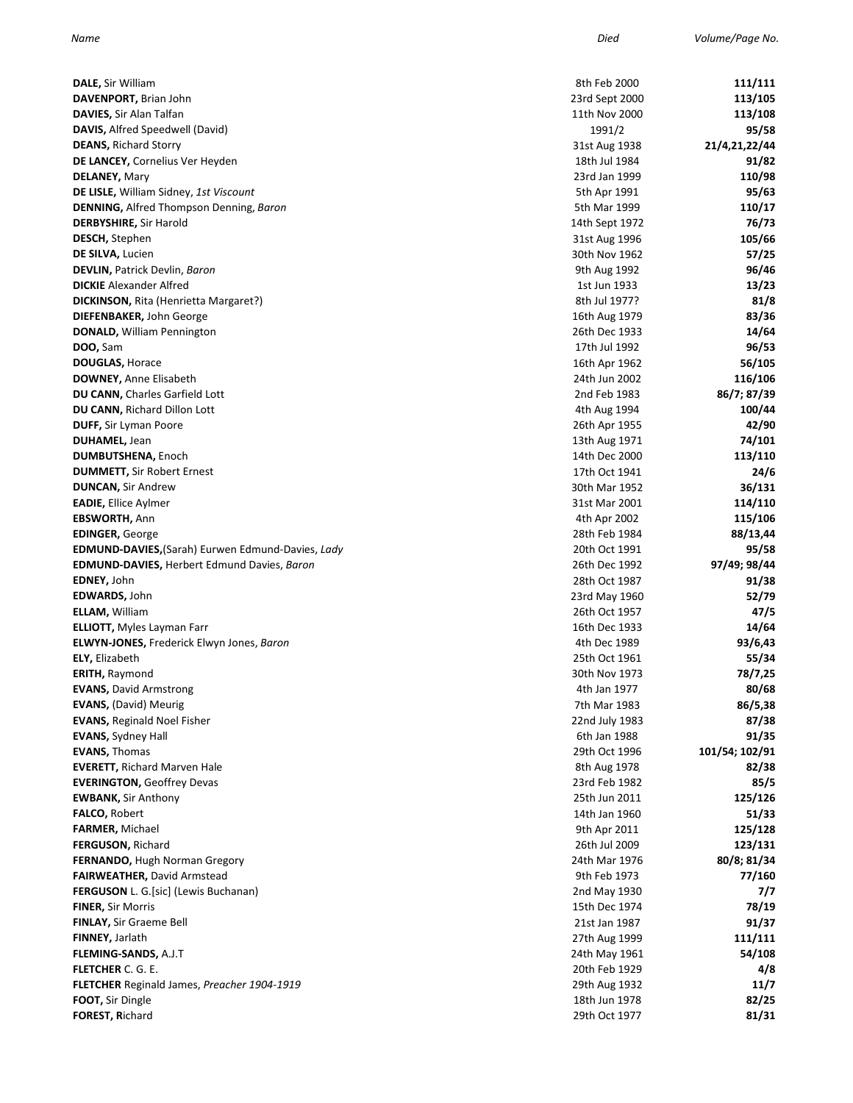**DALE,** Sir William 8th Feb 2000 **111/111 DAVENPORT,** Brian John 23 **DAVIES,** Sir Alan Talfan 11th Nov 2000 **113/108** 11th Nov 2000 **113/108 DAVIS, Alfred Speedwell (David) DEANS, Richard Storry 31st Aug 1938 21st Aug 1938 21st Aug 1938 21st Aug 1938 21st Aug 1938 21st Aug 1938 21st Aug 1938 21st Aug 1938 21st Aug 1938 21st Aug 1946 21st Aug 1946 21st Aug 1946 21st Aug 1946 21st Aug 1946 21s DE LANCEY, Cornelius Ver Heyden 18th Jul 1984 18th Jul 1984 18th Jul 1984 18th Jul 1984 18th Jul 1984 18th Jul 1984 18th Jul 1984 18th Jul 1984 18th Jul 1984 18th Jul 1984 18th Jul 1984 18th Jul 1984 18th Jul 1984 18th Ju DELANEY,** Mary 23rd Jan 1999 **110/98 DE LISLE, William Sidney, 1st Viscount** 5th Apr 1991 **95** 55 **DENNING,** Alfred Thompson Denning, *Baron* 5th Mar 1999 **110 110 110 111 DERBYSHIRE,** Sir Harold 14th September 1972 14th September 1972 14th Sept 1972 14th Sept 1972 14th September 1973 14th September 1973 14th September 1973 14th September 1973 14th September 1973 14th September 1973 14th Se **DESCH,** Stephen 31st Aug 1996 **105/66** 105/666 105/666 105/666 105/666 105/666 105/666 105/666 105/666 105/666 105/666 105/666 105/666 105/666 105/666 105/666 105/666 105/666 105/666 105/666 105/666 105/666 105/666 105/66 **DE SILVA,** Lucien 30th Nov 1962 **57/25 DEVLIN,** Patrick Devlin, *Baron* 96 **DICKIE** Alexander Alfred 13 **DICKINSON,** Rita (Henrietta Margaret?) 8th Jul 1977. **81/8 DIEFENBAKER,** John George 16th Aug 1979 83/366 83/366 83/366 83/366 83/366 83/366 83/366 83/366 83/366 83/366 83/366 83/366 83/366 83/366 83/366 83/366 83/366 83/366 83/366 83/366 83/366 83/366 83/366 83/366 83/366 83/366 **DONALD,** William Pennington 26th Dec 1933 **14.1 and 26th Dec 1943 14:4 and 26th Dec 1944 14:4 and 26th Dec 1944 DOO,** Sam 17th Jul 1992 **96/53 DOUGLAS, Horace 16th Apr 1962 56, 1962 56, 1962 56, 1962 56, 1962 56, 1962 56, 1962 56, 1972 56, 1972 56, 1973 56, 1973 56, 1973 56, 1973 56, 1973 56, 1973 56, 1973 56, 1973 56, 1973 56, 1973 56, 1973 56, 1973 56, 1973 56 DOWNEY,** Anne Elisabeth 2002 **116/106** 2002 **116/106** 2002 **12: DU CANN, Charles Garfield Lott 2nd Feb 1983 86/7; 87/39** 86/7; 87/39 **DU CANN,** Richard Dillon Lott 4th Aug 1994 100 Aug 1994 100 Aug 1994 100 Aug 1994 100 Aug 1994 100 Aug 1994 100 **DUFF,** Sir Lyman Poore 26th Apr 1955 **42/900** 42/900 42/900 42/900 42/900 42/900 42/900 42/900 42/900 42/900 42/900 42/900 42/900 42/900 42/900 42/900 42/900 42/900 42/900 42/900 42/900 42/900 42/900 42/900 42/900 42/900 **DUHAMEL,** Jean 13th Aug 1971 **74/101 DUMBUTSHENA, Enoch** 14th Dec 2000 **113/1100 113/1100 113/1100 113/1100 113/1100 114 DUMMETT, Sir Robert Ernest** 17th Oct 1941 **24/621 DUNCAN,** Sir Andrew 30th Mar 1952 **36/131 EADIE, Ellice Aylmer** 33st Mar 2001 **114/1100 114/1100 114/1100 114/1100 114/1100 114/1100 114/1100 114 EBSWORTH,** Ann **115/106 115/106 115/106 115/106 115/106 115/106 115/106 EDINGER,** George 28th Feb 1984 **88/13,444** 88/13,444 88/13,444 88/13,444 88/13,444 88/13,444 88/13,444 88/13,444 88/13,444 88/13,444 88/13,444 88/13,444 88/13,444 88/13,444 88/13,444 88/13,444 88/13,444 88/13,444 88/13,44 **EDMUND-DAVIES,**(Sarah) Eurwen Edmund-Davies, *Lady* 20th Oct 1991 **95/58 EDMUND-DAVIES,** Herbert Edmund Davies, *Baron* 26th Dec 1992 **97/49; 98/44 EDNEY,** John 28th Oct 1987 **91/38 EDWARDS,** John 23rd May 1960 **52/79 ELLAM,** William 26th Oct 1957 **47/5 ELLIOTT,** Myles Layman Farr 16th Dec 1933 **14.1 Company 16th Dec 1933 14.1 Company 16th Dec 1933 16th Dec 1933 ELWYN-JONES,** Frederick Elwyn Jones, *Baron* 4th Dec 1989 **93/6, 43/6,43 ELY,** Elizabeth 25th Oct 1961 **55/34 ERITH,** Raymond 30th Nov 1973 **78/7, 25/7,25 78/7,25 EVANS, David Armstrong 4th Jan 1978 80. 1978 80. 1978 1979 80. 1978 80. 1979 80. 1979 80. 1979 80. 1979 80. 1979 80. 1979 80. 1979 80. 1979 80. 1979 80. 1979 80. 1979 80. 1979 80. 1979 80. 1979 80. 1979 80. 1979 80. 1979 EVANS,** (David) Meurig **86.38** 86.383 **86.39** 86.383 **86.39** 86.383 86.39 **86.38 EVANS, Reginald Noel Fisher 22 87.383 87.483 87.483 87.483 87.483 87.483 87.483 87.483 87.483 87.483 87.483 87.483 87.483 87.483 87.483 87.483 87.483 87.483 87.483 87.483 87.483 87.483 87.483 87.483 87.483 87.483 87.483 EVANS,** Sydney Hall 6th Jan 1988 **91/35 EVANS,** Thomas 29th Oct 1996 **101/54; 101/54; 101/54; 101/54; 101/54; 102/91 EVERETT,** Richard Marven Hale 8th Aug 1978 82. Aug 1978 82. Aug 1978 82. Aug 1978 82. Aug 1978 82. Aug 1978 82. Aug 1978 82. Aug 1978 82. Aug 1978 82. Aug 1978 82. Aug 1978 1979 82. Aug 1979 82. Aug 1979 82. Aug 1979 82. **EVERINGTON,** Geoffrey Devas **85. And Feb 1982 85. And Feb 1982 85. And Feb 1982 85. And Feb 1982 85. And Feb 1982 85. And Feb 1983 85. And Feb 1982 85. And Feb 1982 85. And Feb 1983 85. And Feb 1983 85. And Feb 1983 85. A EWBANK,** Sir Anthony 25th Jun 2012 **125/126 FALCO,** Robert 14th Jan 1960 **51/33 FARMER,** Michael 9th Apr 2011 **125/128 125/128 125/128 125/128 125/128 125/128 125/128 125/128 125/128 125/128 125 FERGUSON, Richard 2009 <b>123/1312 2009 12:000 12:000 12:000 12:000 12:000 12:000 12:000 12:000 12:000 12:000 12:000 12:00:00 12:00:00 12:00:00 12:00:00 12:00:00 12:00:00 12:00:00 12:00:00 12:00:00 12:00:00 12:00:00 12:00 FERNANDO,** Hugh Norman Gregory 24th Mar 1976 80. 800, 8124 800, 8124 **FAIRWEATHER,** David Armstead 9th Feb 1973 **77.160 FERGUSON** L. G.[sic] (Lewis Buchanan) **7** 21 **FINER,** Sir Morris 15th Dec 1974 **78/19 FINLAY,** Sir Graeme Bell 21st Jan 1987 **91/37** 91/37 **91/37** 91/37 91/37 91/37 91/37 91/37 91/37 91/37 **FINNEY,** Jarlath 27th Aug 1999 **111/111 FLEMING-SANDS,** A.J.T 24 **FLETCHER** C. G. E. 20th **All 20th FEB 1929 <b>4/8 4/8 4/8 4/8 4/8 4/8 4/8 4/8 4/8 4/8 4/8 4/8 4/8 4/8 4/8 4/8 4/8 4/8 4/8 4/8 4/8 4/8 4/8 4/8 4/8 4/8 4/8 4/8 4/8 4/8 FLETCHER** Reginald James, *Preacher 1904-1919* 29th Aug 1932 **11/7 FOOT,** Sir Dingle 18th Jun 1978 **82/25 FOREST, R**ichard 29th Oct 1977 **81/31**

| th Feb 2000   | 111/111        |
|---------------|----------------|
| rd Sept 2000  | 113/105        |
| Lth Nov 2000  | 113/108        |
| 1991/2        | 95/58          |
| 1st Aug 1938  | 21/4,21,22/44  |
| 8th Jul 1984  | 91/82          |
| 3rd Jan 1999  | 110/98         |
| th Apr 1991   | 95/63          |
| th Mar 1999   | 110/17         |
| th Sept 1972  | 76/73          |
| 1st Aug 1996  | 105/66         |
| Ith Nov 1962  | 57/25          |
| th Aug 1992   | 96/46          |
| st Jun 1933   | 13/23          |
| th Jul 1977?  | 81/8           |
| 5th Aug 1979  | 83/36          |
| 5th Dec 1933  | 14/64          |
| 7th Jul 1992  | 96/53          |
| 5th Apr 1962  | 56/105         |
| 4th Jun 2002  | 116/106        |
| nd Feb 1983   | 86/7; 87/39    |
| th Aug 1994   | 100/44         |
| 5th Apr 1955  | 42/90          |
| 3th Aug 1971  | 74/101         |
| 4th Dec 2000  | 113/110        |
| 7th Oct 1941  | 24/6           |
| )th Mar 1952  | 36/131         |
| Lst Mar 2001  | 114/110        |
| th Apr 2002   | 115/106        |
| 3th Feb 1984  | 88/13,44       |
| 0th Oct 1991  | 95/58          |
| 5th Dec 1992  | 97/49; 98/44   |
| 8th Oct 1987  | 91/38          |
| rd May 1960   | 52/79          |
| 5th Oct 1957  | 47/5           |
| 5th Dec 1933  | 14/64          |
| th Dec 1989   | 93/6,43        |
| 5th Oct 1961  | 55/34          |
| Ith Nov 1973  | 78/7,25        |
| th Jan 1977   | 80/68          |
| th Mar 1983   | 86/5,38        |
| Ind July 1983 | 87/38          |
| ith Jan 1988  | 91/35          |
| 9th Oct 1996  | 101/54; 102/91 |
| th Aug 1978   | 82/38          |
| 3rd Feb 1982  | 85/5           |
| 5th Jun 2011  | 125/126        |
| 4th Jan 1960  | 51/33          |
| th Apr 2011   | 125/128        |
| 6th Jul 2009  | 123/131        |
| Ith Mar 1976  | 80/8; 81/34    |
| th Feb 1973   | 77/160         |
| nd May 1930   | 7/7            |
| 5th Dec 1974  | 78/19          |
| 1st Jan 1987  | 91/37          |
| 7th Aug 1999  | 111/111        |
| Ith May 1961  | 54/108         |
| 0th Feb 1929  | 4/8            |
| Ith Aug 1932  | 11/7           |
| 8th Jun 1978  | 82/25          |
| 9th Oct 1977  | 81/31          |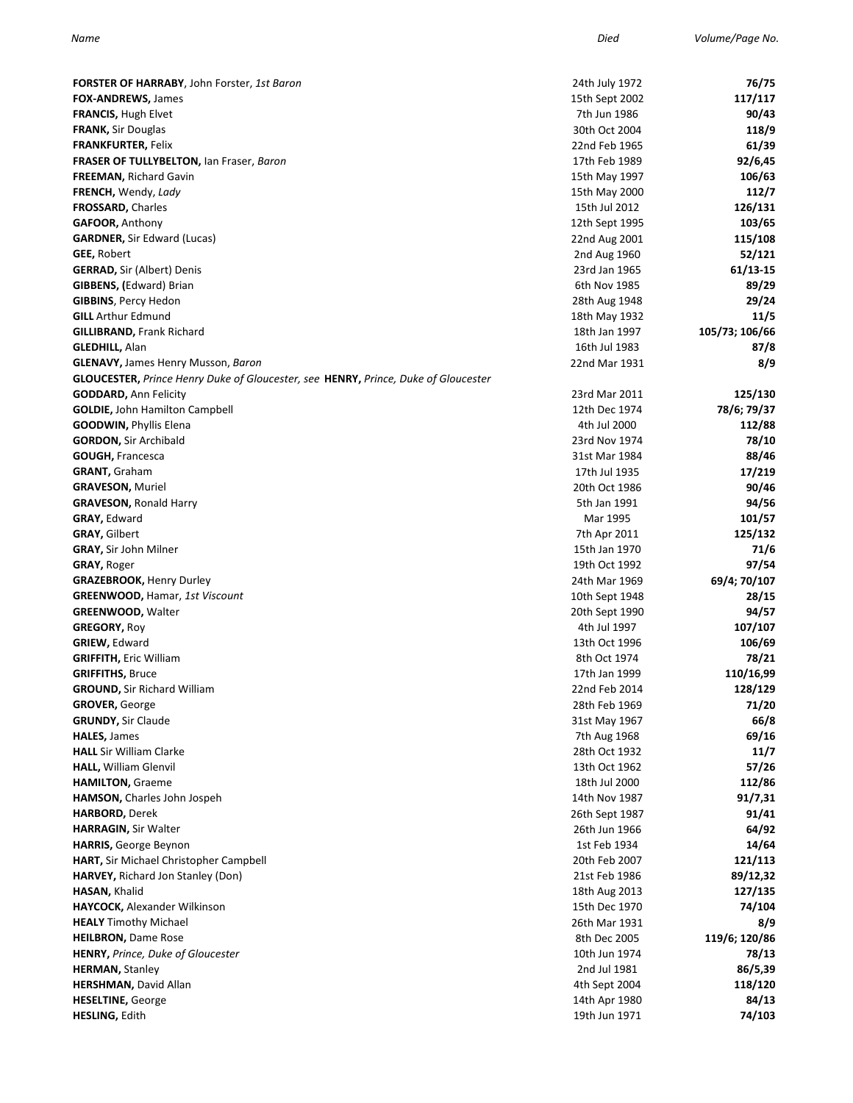**FORSTER OF HARRABY**, John Forster, *1st Baron* 24th July 1972 **76/75 FOX-ANDREWS, James** 117/117 **FRANCIS,** Hugh Elvet 90/43 **FRANK,** Sir Douglas **118/9 118/9 FRANKFURTER,** Felix 22nd Feb 1965 **61/39 FRASER OF TULLYBELTON,** Ian Fraser, *Baron* 17th Feb 1989 **92/6,45 FREEMAN,** Richard Gavin 15th May 1997 **106/63 FRENCH,** Wendy, *Lady* 15th May 2000 **112/7 FROSSARD, Charles 126/131 126/131 126/131 126/131 GAFOOR,** Anthony 12th Sept 1995 **103/65 GARDNER,** Sir Edward (Lucas) 22nd Aug 2001 **115/108 GEE,** Robert 2nd Aug 1960 **52/121 GERRAD,** Sir (Albert) Denis 23rd Jan 1965 **61/13-15 GIBBENS, (Edward) Brian 6th Nov 1985 89/29 6th Nov 1985 89/29 GIBBINS**, Percy Hedon 29/24 **29/24 29/24 GILL** Arthur Edmund 18th May 1932 **11/5 GILLIBRAND,** Frank Richard 18th Jan 1997 **105/73; 106/66 GLEDHILL,** Alan 16th Jul 1983 **87/8 GLENAVY,** James Henry Musson, *Baron* 22nd Mar 1931 **8/9 GLOUCESTER,** *Prince Henry Duke of Gloucester, see* **HENRY,** *Prince, Duke of Gloucester* **GODDARD,** Ann Felicity 23rd Mar 2011 **125/130 GOLDIE,** John Hamilton Campbell 12th Dec 1974 **78/6; 79/37 GOODWIN,** Phyllis Elena **112/88 112/88 GORDON,** Sir Archibald 23rd Nov 1974 **78/10 GOUGH,** Francesca 31st Mar 1984 **88/46 GRANT,** Graham 17/219 **GRAVESON,** Muriel 20th Oct 1986 **90/46 GRAVESON, Ronald Harry 5th Jan 1991 94/56 94/56 GRAY,** Edward **101/57 101/57 101/67 101/67 Mar 1995 Mar 1995 101/67 GRAY,** Gilbert 7th Apr 2011 **125/132 GRAY,** Sir John Milner **71/6 71/6 GRAY,** Roger 19th Oct 1992 **97/54 GRAZEBROOK,** Henry Durley 24th Mar 1969 **69/4; 70/107 GREENWOOD,** Hamar, 1st Viscount 18, 1998 **28/15 10th Sept 1948 28/15 GREENWOOD,** Walter **94/57 94/57 94/57 20th Sept 1990 94/57 GREGORY,** Roy 4th Jul 1997 **107/107 GRIEW,** Edward 13th Oct 1996 **106/69 GRIFFITH,** Eric William **78/21 78/21 GRIFFITHS,** Bruce **110/16,99 110/16,99 110/16,99 110/16,99 110/16,99 110/16,99 GROUND,** Sir Richard William 22nd Feb 2014 **128/129 GROVER,** George 21/20 **71/20 GRUNDY,** Sir Claude 31st May 1967 **66/8 HALES,** James 69/16 **HALL** Sir William Clarke 28th Oct 1932 **11/7 HALL,** William Glenvil **57/26 57/26 57/26 57/26 57/26 57/26 57/26 57/26 57/26 57/26 HAMILTON,** Graeme 112/86 **HAMSON, Charles John Jospeh 14th Nov 1987 <b>91/7,31 91/7,31 HARBORD,** Derek 26th Sept 1987 **91/41 HARRAGIN,** Sir Walter 26th Jun 1966 **64/92 HARRIS,** George Beynon **14/64 14/64 HART,** Sir Michael Christopher Campbell 20th Feb 2007 **121/113 HARVEY,** Richard Jon Stanley (Don) 21st Feb 1986 **89/12,32 HASAN,** Khalid 18th Aug 2013 **127/135 HAYCOCK,** Alexander Wilkinson 15th Dec 1970 **74/104 HEALY** Timothy Michael 26th Mar 1931 **8/9 HEILBRON, Dame Rose 8th Dec 2005 119/6; 120/86** 2005 2005 2007 8th Dec 2005 2007 8th Dec 2005 2007 8th Dec 2005 **HENRY,** *Prince, Duke of Gloucester* 10th Jun 1974 **78/13 HERMAN,** Stanley **86/5,39 86/5,39 HERSHMAN, David Allan 4th Sept 2004 118/120 118/120 HESELTINE,** George 84/13 **HESLING,** Edith 19th Jun 1971 **74/103**

*Name Died Volume/Page No.*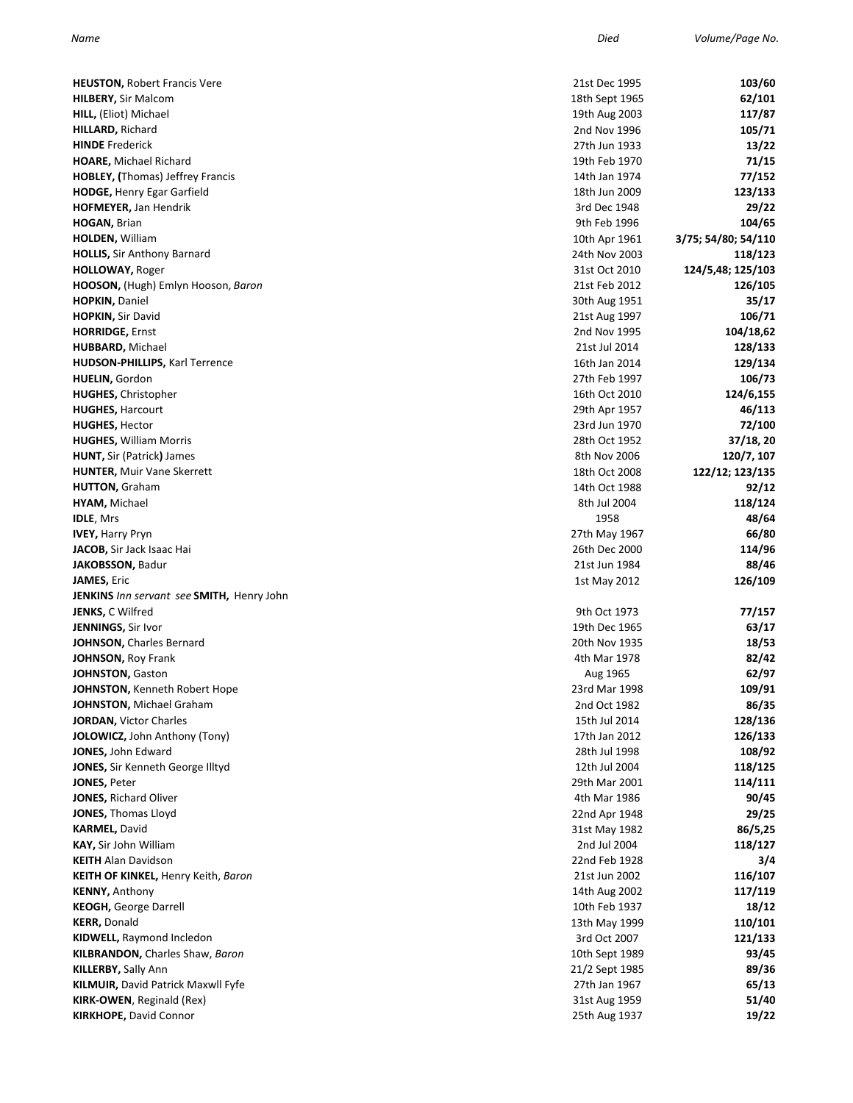**HEUSTON, Robert Francis Vere HILBERY, Sir Malcom HILL, (Eliot) Michael HILLARD, Richard HINDE** Frederick **HOARE, Michael Richard HOBLEY, (Thomas) Jeffrey Francis HODGE, Henry Egar Garfield HOFMEYER, Jan Hendrik HOGAN,** Brian 9th Feb 1996 **104/65 HOLDEN, William HOLLIS, Sir Anthony Barnard HOLLOWAY, Roger HOOSON, (Hugh) Emlyn Hooson, Baron HOPKIN,** Daniel 35/17 **HOPKIN,** Sir David 21st Aug 1997 **106/71 HORRIDGE,** Ernst 2nd Nov 1995 **104/18,62 HUBBARD, Michael HUDSON-PHILLIPS, Karl Terrence HUELIN,** Gordon 27th Feb 1997 **106/73 HUGHES, Christopher HUGHES, Harcourt HUGHES,** Hector 23rd Jun 1970 **72/100 HUGHES, William Morris HUNT, Sir (Patrick) James HUNTER, Muir Vane Skerrett HUTTON, Graham HYAM,** Michael 8th Jul 2004 **118/124 IDLE**, Mrs **48/64 IVEY, Harry Pryn JACOB, Sir Jack Isaac Hai JAKOBSSON, Badur JAMES,** Eric **126/109 126/109 126/109 126/109 126/109 126/109 126/109 126/109 JENKINS** *Inn servant see* **SMITH,** Henry John **JENKS, C Wilfred JENNINGS, Sir Ivor JOHNSON, Charles Bernard JOHNSON, Roy Frank JOHNSTON, Gaston JOHNSTON, Kenneth Robert Hope JOHNSTON, Michael Graham JORDAN, Victor Charles JOLOWICZ, John Anthony (Tony) JONES, John Edward JONES, Sir Kenneth George Illtyd JONES,** Peter 29th Mar 2001 **114/111 JONES, Richard Oliver JONES, Thomas Lloyd KARMEL,** David 31st May 1982 **86/5,25 KAY, Sir John William KEITH Alan Davidson KEITH OF KINKEL, Henry Keith, Baron KENNY, Anthony KEOGH, George Darrell KERR,** Donald 13th May 1999 **110/101 KIDWELL, Raymond Incledon KILBRANDON, Charles Shaw, Baron KILLERBY, Sally Ann KILMUIR, David Patrick Maxwll Fyfe KIRK-OWEN**, Reginald (Rex) **KIRKHOPE, David Connor** 

| 21st Dec 1995  | 103/60              |
|----------------|---------------------|
| 18th Sept 1965 | 62/101              |
| 19th Aug 2003  | 117/87              |
| 2nd Nov 1996   | 105/71              |
| 27th Jun 1933  | 13/22               |
| 19th Feb 1970  | 71/15               |
| 14th Jan 1974  | 77/152              |
| 18th Jun 2009  | 123/133             |
| 3rd Dec 1948   | 29/22               |
| 9th Feb 1996   | 104/65              |
| 10th Apr 1961  | 3/75; 54/80; 54/110 |
| 24th Nov 2003  | 118/123             |
| 31st Oct 2010  | 124/5,48; 125/103   |
| 21st Feb 2012  | 126/105             |
| 30th Aug 1951  | 35/17               |
| 21st Aug 1997  | 106/71              |
| 2nd Nov 1995   | 104/18,62           |
| 21st Jul 2014  | 128/133             |
| 16th Jan 2014  | 129/134             |
| 27th Feb 1997  | 106/73              |
| 16th Oct 2010  | 124/6,155           |
| 29th Apr 1957  | 46/113              |
| 23rd Jun 1970  | 72/100              |
| 28th Oct 1952  | 37/18, 20           |
| 8th Nov 2006   | 120/7, 107          |
| 18th Oct 2008  | 122/12; 123/135     |
| 14th Oct 1988  | 92/12               |
| 8th Jul 2004   | 118/124             |
| 1958           | 48/64               |
| 27th May 1967  | 66/80               |
| 26th Dec 2000  | 114/96              |
| 21st Jun 1984  | 88/46               |
| 1st May 2012   | 126/109             |
| 9th Oct 1973   | 77/157              |
| 19th Dec 1965  | 63/17               |
| 20th Nov 1935  | 18/53               |
| 4th Mar 1978   | 82/42               |
| Aug 1965       | 62/97               |
| 23rd Mar 1998  | 109/91              |
| 2nd Oct 1982   | 86/35               |
| 15th Jul 2014  | 128/136             |
| 17th Jan 2012  | 126/133             |
| 28th Jul 1998  | 108/92              |
| 12th Jul 2004  | 118/125             |
| 29th Mar 2001  | 114/111             |
| 4th Mar 1986   | 90/45               |
| 22nd Apr 1948  | 29/25               |
| 31st May 1982  | 86/5,25             |
| 2nd Jul 2004   | 118/127             |
| 22nd Feb 1928  | 3/4                 |
| 21st Jun 2002  | 116/107             |
| 14th Aug 2002  | 117/119             |
| 10th Feb 1937  | 18/12               |
| 13th May 1999  | 110/101             |
| 3rd Oct 2007   | 121/133             |
| 10th Sept 1989 | 93/45               |
| 21/2 Sept 1985 | 89/36               |
| 27th Jan 1967  | 65/13               |
| 31st Aug 1959  | 51/40               |
| 25th Aug 1937  | 19/22               |
|                |                     |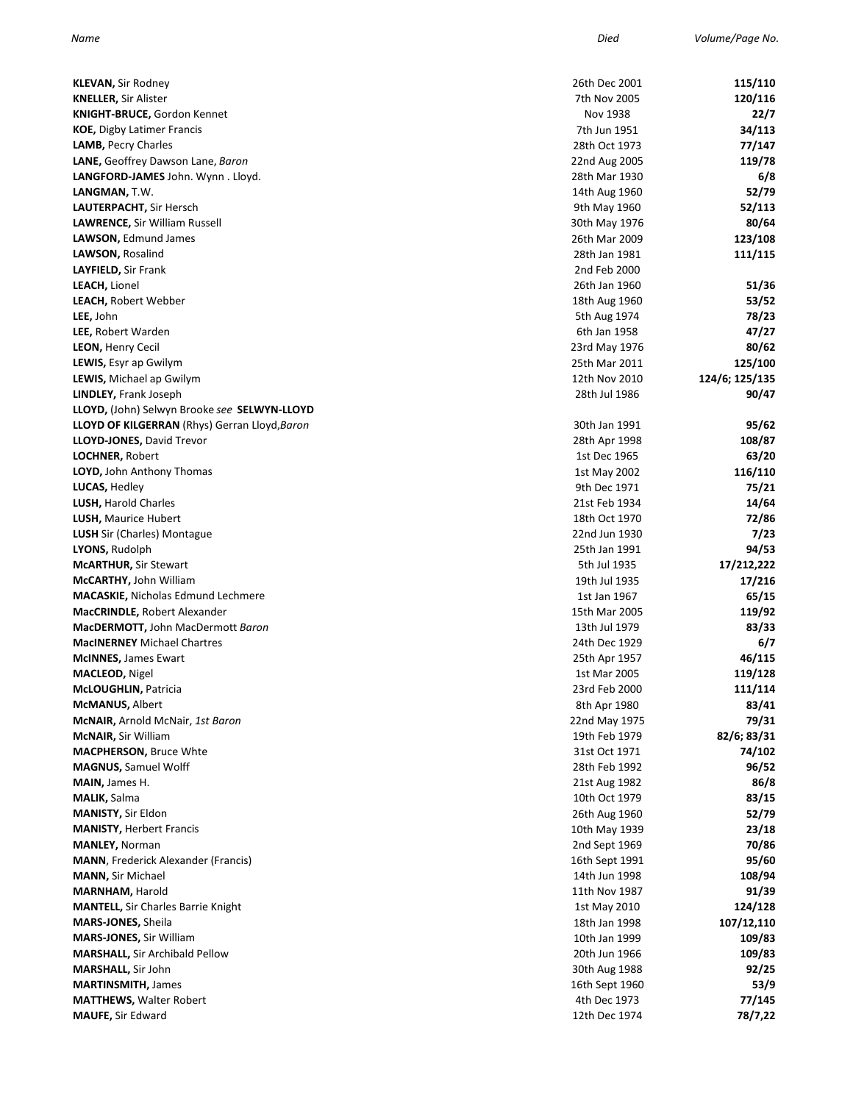**KLEVAN, Sir Rodney KNELLER, Sir Alister KNIGHT-BRUCE, Gordon Kennet KOE, Digby Latimer Francis LAMB, Pecry Charles LANE, Geoffrey Dawson Lane, Baron** LANGFORD-JAMES John. Wynn . Lloyd. LANGMAN, T.W. **LAUTERPACHT, Sir Hersch LAWRENCE, Sir William Russell LAWSON, Edmund James LAWSON, Rosalind** LAYFIELD, Sir Frank **LEACH,** Lionel 26th Jan 1960 **51/36 LEACH, Robert Webber LEE,** John 5th Aug 1974 **78/23 LEE, Robert Warden LEON, Henry Cecil LEWIS, Esyr ap Gwilym LEWIS, Michael ap Gwilym LINDLEY, Frank Joseph LLOYD,** (John) Selwyn Brooke *see* **SELWYN-LLOYD LLOYD OF KILGERRAN** (Rhys) Gerran Lloyd, Baron **LLOYD-JONES, David Trevor LOCHNER,** Robert **63/20 63/20 LOYD, John Anthony Thomas LUCAS,** Hedley 9th Dec 1971 **75/21 LUSH, Harold Charles LUSH, Maurice Hubert LUSH** Sir (Charles) Montague **LYONS, Rudolph McARTHUR, Sir Stewart McCARTHY, John William MACASKIE, Nicholas Edmund Lechmere MacCRINDLE, Robert Alexander MacDERMOTT, John MacDermott Baron MacINERNEY** Michael Chartres **McINNES, James Ewart MACLEOD, Nigel McLOUGHLIN, Patricia McMANUS, Albert McNAIR, Arnold McNair, 1st Baron McNAIR, Sir William MACPHERSON, Bruce Whte MAGNUS, Samuel Wolff MAIN, James H. MALIK,** Salma 10th Oct 1979 **83/15 MANISTY, Sir Eldon MANISTY, Herbert Francis MANLEY, Norman MANN**, Frederick Alexander (Francis) **MANN, Sir Michael MARNHAM, Harold MANTELL, Sir Charles Barrie Knight MARS-JONES, Sheila MARS-JONES, Sir William MARSHALL, Sir Archibald Pellow MARSHALL, Sir John MARTINSMITH, James MATTHEWS, Walter Robert MAUFE, Sir Edward** 

| 26th Dec 2001                 | 115/110        |
|-------------------------------|----------------|
| 7th Nov 2005                  | 120/116        |
| Nov 1938                      | 22/7           |
| 7th Jun 1951                  | 34/113         |
| 28th Oct 1973                 | 77/147         |
| 22nd Aug 2005                 | 119/78         |
| 28th Mar 1930                 | 6/8            |
| 14th Aug 1960                 | 52/79          |
| 9th May 1960                  | 52/113         |
| 30th May 1976                 | 80/64          |
| 26th Mar 2009                 | 123/108        |
| 28th Jan 1981                 | 111/115        |
| 2nd Feb 2000                  |                |
| 26th Jan 1960                 | 51/36          |
| 18th Aug 1960                 | 53/52          |
| 5th Aug 1974                  | 78/23          |
| 6th Jan 1958                  | 47/27          |
| 23rd May 1976                 | 80/62          |
| 25th Mar 2011                 | 125/100        |
| 12th Nov 2010                 | 124/6; 125/135 |
| 28th Jul 1986                 | 90/47          |
|                               |                |
| 30th Jan 1991                 | 95/62          |
| 28th Apr 1998                 | 108/87         |
| 1st Dec 1965                  | 63/20          |
| 1st May 2002                  | 116/110        |
| 9th Dec 1971                  | 75/21          |
| 21st Feb 1934                 | 14/64          |
| 18th Oct 1970                 | 72/86          |
| 22nd Jun 1930                 | 7/23           |
| 25th Jan 1991                 | 94/53          |
| 5th Jul 1935                  | 17/212,222     |
| 19th Jul 1935                 | 17/216         |
| 1st Jan 1967                  | 65/15          |
| 15th Mar 2005                 | 119/92         |
| 13th Jul 1979                 | 83/33          |
| 24th Dec 1929                 | 6/7            |
|                               |                |
| 25th Apr 1957<br>1st Mar 2005 | 46/115         |
|                               | 119/128        |
| 23rd Feb 2000                 | 111/114        |
| 8th Apr 1980                  | 83/41          |
| 22nd May 1975                 | 79/31          |
| 19th Feb 1979                 | 82/6; 83/31    |
| 31st Oct 1971                 | 74/102         |
| 28th Feb 1992                 | 96/52          |
| 21st Aug 1982                 | 86/8           |
| 10th Oct 1979                 | 83/15          |
| 26th Aug 1960                 | 52/79          |
| 10th May 1939                 | 23/18          |
| 2nd Sept 1969                 | 70/86          |
| 16th Sept 1991                | 95/60          |
| 14th Jun 1998                 | 108/94         |
| 11th Nov 1987                 | 91/39          |
| 1st May 2010                  | 124/128        |
| 18th Jan 1998                 | 107/12,110     |
| 10th Jan 1999                 | 109/83         |
| 20th Jun 1966                 | 109/83         |
| 30th Aug 1988                 | 92/25          |
| 16th Sept 1960                | 53/9           |
| 4th Dec 1973                  | 77/145         |
| 12th Dec 1974                 | 78/7,22        |
|                               |                |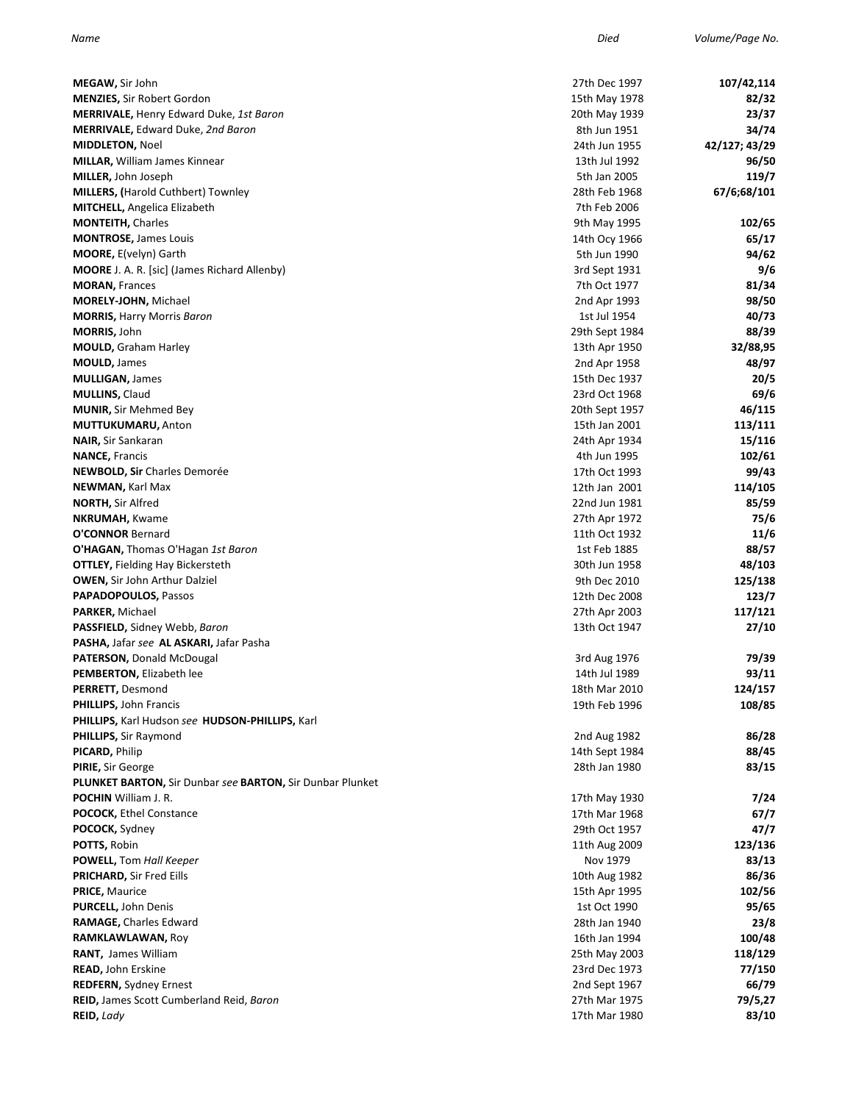| ٠<br>۰, |  |
|---------|--|
|---------|--|

**MEGAW,** Sir John 27th Dec 1997 **107/42,114 MENZIES,** Sir Robert Gordon 15th May 1978 **82/32 MERRIVALE,** Henry Edward Duke, *1st Baron* 20th May 1939 **23/37 MERRIVALE, Edward Duke, 2nd Baron** 8th Jun 1951 **34/74 34/74 MIDDLETON,** Noel 24th Jun 1955 **42/127; 43/29 MILLAR,** William James Kinnear 13th Jul 1992 **96/50 MILLER,** John Joseph 5th Jan 2005 **119/7 MILLERS, (**Harold Cuthbert) Townley 28th Feb 1968 **67/6;68/101 MITCHELL,** Angelica Elizabeth 7th Feb 2006 **MONTEITH, Charles 102/65 102/65 102/65 102/65 102/65 102/65 102/65 102/65 102/65 MONTROSE, James Louis 65/17 65/17 65/17 65/17 65/17 65/17 65/17 MOORE,** E(velyn) Garth 5th Jun 1990 **94/62 MOORE** J. A. R. [sic] (James Richard Allenby) 3rd Sept 1931 **9/6 MORAN, Frances 81/34 81/34 MORELY-JOHN,** Michael 2013 **98/50 98/50 MORRIS,** Harry Morris Baron **40/73 40/73 1st Jul 1954 40/73 MORRIS,** John 29th Sept 1984 **88/39 MOULD,** Graham Harley 13th Apr 1950 **32/88,95 MOULD,** James **48/97 48/97 2nd Apr 1958 <b>48/97 MULLIGAN, James 20/5 20/5 MULLINS,** Claud 23rd Oct 1968 **69/6 MUNIR,** Sir Mehmed Bey 20th Sept 1957 **46/115 MUTTUKUMARU,** Anton 113/111 **113/111 113/111 113/111 NAIR,** Sir Sankaran 24th Apr 1934 **15/116 NANCE,** Francis **102/61 102/61 102/61 102/61 102/61 102/61 102/61 102/61 102/61 102/61 102/61 102/61 NEWBOLD, Sir Charles Demorée 17th Oct 1993 99/43 99/43 NEWMAN,** Karl Max 12th Jan 2001 **114/105 NORTH,** Sir Alfred 22nd Jun 1981 **85/59 NKRUMAH,** Kwame 27th Apr 1972 **75/6 O'CONNOR** Bernard 11th Oct 1932 **11/6 O'HAGAN,** Thomas O'Hagan *1st Baron* 1st Feb 1885 **88/57 OTTLEY,** Fielding Hay Bickersteth 30th Jun 1958 **48/103 OWEN,** Sir John Arthur Dalziel 9th Dec 2010 **125/138 125/138 PAPADOPOULOS,** Passos 12th Dec 2008 **123/7 PARKER,** Michael 27th Apr 2003 **117/121 PASSFIELD,** Sidney Webb, *Baron* 13th Oct 1947 **27/10 PASHA,** Jafar *see* **AL ASKARI,** Jafar Pasha **PATERSON,** Donald McDougal 3rd Aug 1976 **79/39 PEMBERTON, Elizabeth lee 14th Jul 1989 93/11 93/11 PERRETT,** Desmond 18th Mar 2010 **124/157 PHILLIPS,** John Francis 19th Feb 1996 **108/85 PHILLIPS,** Karl Hudson *see* **HUDSON-PHILLIPS,** Karl **PHILLIPS,** Sir Raymond **86/28 86/28 PICARD,** Philip 14th Sept 1984 **88/45 PIRIE,** Sir George 28th Jan 1980 **83/15 PLUNKET BARTON,** Sir Dunbar *see* **BARTON,** Sir Dunbar Plunket **POCHIN** William J. R. 17th May 1930 **7/24 POCOCK,** Ethel Constance 17th Mar 1968 **67/7 POCOCK,** Sydney 29th Oct 1957 **47/7 POTTS,** Robin **123/136 123/136 123/136 123/136 123/136 POWELL,** Tom *Hall Keeper* 83/13 **PRICHARD,** Sir Fred Eills 86/36 **PRICE,** Maurice 15th Apr 1995 **102/56 PURCELL, John Denis** 95/65 **RAMAGE,** Charles Edward 28th Jan 1940 **23/8 RAMKLAWLAWAN, Roy 100/48 100/48 100/48 RANT,** James William 25th May 2003 **118/129 READ,** John Erskine 23rd Dec 1973 **77/150 REDFERN,** Sydney Ernest **66/79 66/79 2nd Sept 1967 <b>66/79 REID,** James Scott Cumberland Reid, *Baron* 27th Mar 1975 **79/5,27**

**REID,** *Lady* 17th Mar 1980 **83/10**

*Name Died Volume/Page No.*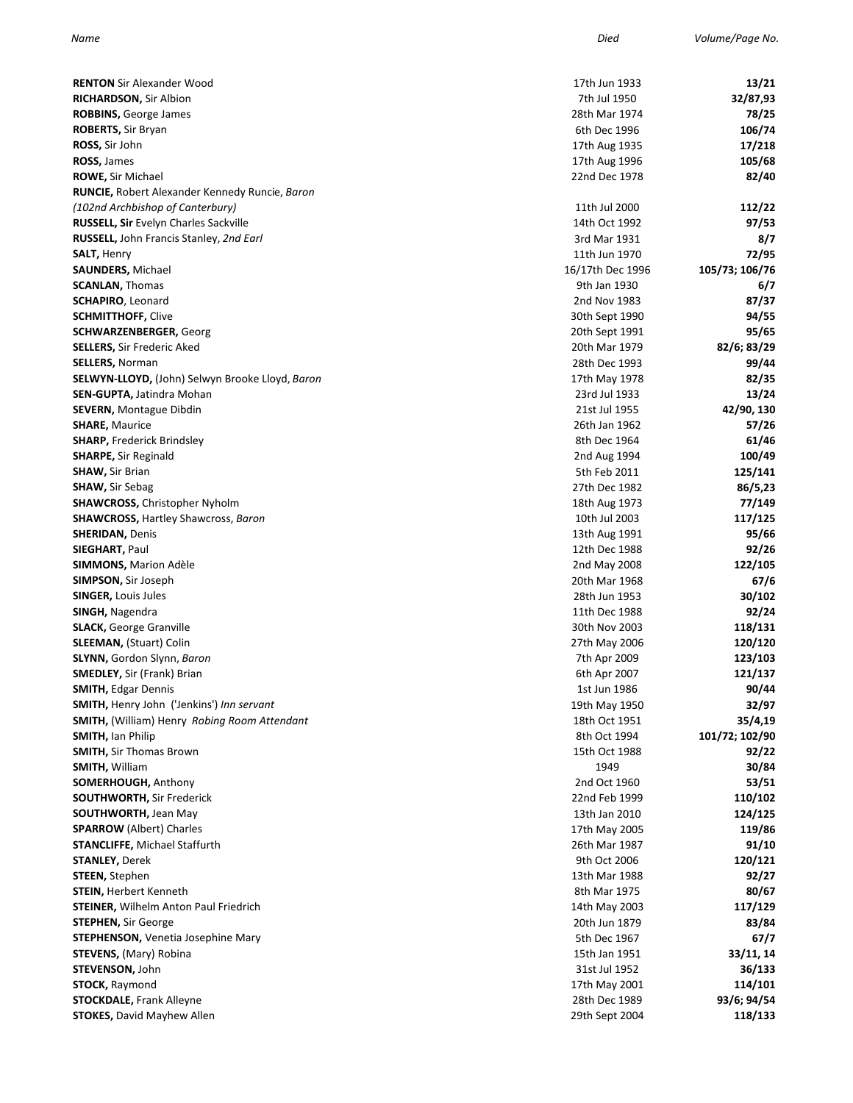*Name Died Volume/Page No.*

| <b>RENTON</b> Sir Alexander Wood                      | 17th Jun 1933    | 13/21          |
|-------------------------------------------------------|------------------|----------------|
| <b>RICHARDSON, Sir Albion</b>                         | 7th Jul 1950     | 32/87,93       |
| <b>ROBBINS, George James</b>                          | 28th Mar 1974    | 78/25          |
| ROBERTS, Sir Bryan                                    | 6th Dec 1996     | 106/74         |
| <b>ROSS, Sir John</b>                                 | 17th Aug 1935    | 17/218         |
| ROSS, James                                           | 17th Aug 1996    | 105/68         |
| <b>ROWE, Sir Michael</b>                              | 22nd Dec 1978    | 82/40          |
| <b>RUNCIE, Robert Alexander Kennedy Runcie, Baron</b> |                  |                |
| (102nd Archbishop of Canterbury)                      | 11th Jul 2000    | 112/22         |
| RUSSELL, Sir Evelyn Charles Sackville                 | 14th Oct 1992    | 97/53          |
| <b>RUSSELL, John Francis Stanley, 2nd Earl</b>        | 3rd Mar 1931     | 8/7            |
| <b>SALT, Henry</b>                                    | 11th Jun 1970    | 72/95          |
| <b>SAUNDERS, Michael</b>                              | 16/17th Dec 1996 | 105/73; 106/76 |
| <b>SCANLAN, Thomas</b>                                | 9th Jan 1930     | 6/7            |
| <b>SCHAPIRO, Leonard</b>                              | 2nd Nov 1983     | 87/37          |
| <b>SCHMITTHOFF, Clive</b>                             | 30th Sept 1990   | 94/55          |
| <b>SCHWARZENBERGER, Georg</b>                         | 20th Sept 1991   | 95/65          |
| <b>SELLERS, Sir Frederic Aked</b>                     | 20th Mar 1979    | 82/6; 83/29    |
| <b>SELLERS, Norman</b>                                | 28th Dec 1993    | 99/44          |
| SELWYN-LLOYD, (John) Selwyn Brooke Lloyd, Baron       | 17th May 1978    | 82/35          |
| <b>SEN-GUPTA, Jatindra Mohan</b>                      | 23rd Jul 1933    | 13/24          |
| <b>SEVERN, Montague Dibdin</b>                        | 21st Jul 1955    | 42/90, 130     |
| <b>SHARE, Maurice</b>                                 | 26th Jan 1962    | 57/26          |
| <b>SHARP, Frederick Brindsley</b>                     | 8th Dec 1964     | 61/46          |
| <b>SHARPE, Sir Reginald</b>                           | 2nd Aug 1994     | 100/49         |
| <b>SHAW, Sir Brian</b>                                | 5th Feb 2011     | 125/141        |
| <b>SHAW, Sir Sebag</b>                                | 27th Dec 1982    | 86/5,23        |
| <b>SHAWCROSS, Christopher Nyholm</b>                  | 18th Aug 1973    | 77/149         |
| <b>SHAWCROSS, Hartley Shawcross, Baron</b>            | 10th Jul 2003    | 117/125        |
| <b>SHERIDAN, Denis</b>                                | 13th Aug 1991    | 95/66          |
| SIEGHART, Paul                                        | 12th Dec 1988    | 92/26          |
| <b>SIMMONS, Marion Adèle</b>                          | 2nd May 2008     | 122/105        |
| <b>SIMPSON, Sir Joseph</b>                            | 20th Mar 1968    | 67/6           |
| <b>SINGER, Louis Jules</b>                            | 28th Jun 1953    | 30/102         |
| <b>SINGH, Nagendra</b>                                | 11th Dec 1988    | 92/24          |
| <b>SLACK, George Granville</b>                        | 30th Nov 2003    | 118/131        |
| <b>SLEEMAN, (Stuart) Colin</b>                        | 27th May 2006    | 120/120        |
| SLYNN, Gordon Slynn, Baron                            | 7th Apr 2009     | 123/103        |
| <b>SMEDLEY, Sir (Frank) Brian</b>                     | 6th Apr 2007     | 121/137        |
| <b>SMITH, Edgar Dennis</b>                            | 1st Jun 1986     | 90/44          |
| SMITH, Henry John ('Jenkins') Inn servant             | 19th May 1950    | 32/97          |
| <b>SMITH, (William) Henry Robing Room Attendant</b>   | 18th Oct 1951    | 35/4,19        |
| <b>SMITH, Ian Philip</b>                              | 8th Oct 1994     | 101/72; 102/90 |
| <b>SMITH, Sir Thomas Brown</b>                        | 15th Oct 1988    | 92/22          |
| SMITH, William                                        | 1949             | 30/84          |
| <b>SOMERHOUGH, Anthony</b>                            | 2nd Oct 1960     | 53/51          |
| <b>SOUTHWORTH, Sir Frederick</b>                      | 22nd Feb 1999    | 110/102        |
| <b>SOUTHWORTH, Jean May</b>                           | 13th Jan 2010    | 124/125        |
| <b>SPARROW</b> (Albert) Charles                       | 17th May 2005    | 119/86         |
| <b>STANCLIFFE, Michael Staffurth</b>                  | 26th Mar 1987    | 91/10          |
| <b>STANLEY, Derek</b>                                 | 9th Oct 2006     | 120/121        |
| <b>STEEN, Stephen</b>                                 | 13th Mar 1988    | 92/27          |
| <b>STEIN, Herbert Kenneth</b>                         | 8th Mar 1975     | 80/67          |
| STEINER, Wilhelm Anton Paul Friedrich                 | 14th May 2003    | 117/129        |
| <b>STEPHEN, Sir George</b>                            | 20th Jun 1879    | 83/84          |
| <b>STEPHENSON, Venetia Josephine Mary</b>             | 5th Dec 1967     | 67/7           |
| <b>STEVENS, (Mary) Robina</b>                         | 15th Jan 1951    | 33/11, 14      |
| <b>STEVENSON, John</b>                                | 31st Jul 1952    | 36/133         |
| STOCK, Raymond                                        | 17th May 2001    | 114/101        |
| <b>STOCKDALE, Frank Alleyne</b>                       | 28th Dec 1989    | 93/6; 94/54    |
| <b>STOKES, David Mayhew Allen</b>                     | 29th Sept 2004   | 118/133        |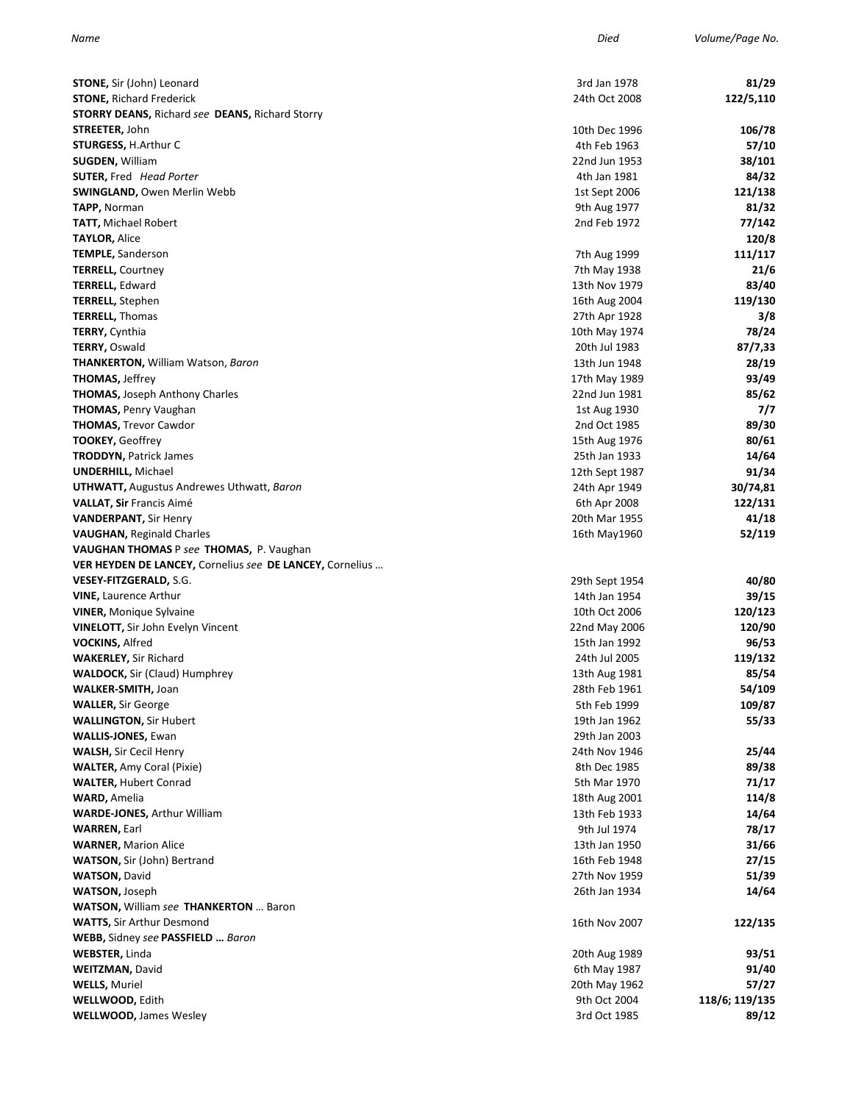*Name Died Volume/Page No.*

| <b>STONE, Sir (John) Leonard</b>                                                                    | 3rd Jan 1978   | 81/29            |
|-----------------------------------------------------------------------------------------------------|----------------|------------------|
| <b>STONE, Richard Frederick</b>                                                                     | 24th Oct 2008  | 122/5,110        |
| STORRY DEANS, Richard see DEANS, Richard Storry                                                     |                |                  |
| <b>STREETER,</b> John                                                                               | 10th Dec 1996  | 106/78           |
| <b>STURGESS, H.Arthur C</b>                                                                         | 4th Feb 1963   | 57/10            |
| <b>SUGDEN, William</b>                                                                              | 22nd Jun 1953  | 38/101           |
| <b>SUTER, Fred</b> Head Porter                                                                      | 4th Jan 1981   | 84/32            |
| SWINGLAND, Owen Merlin Webb                                                                         | 1st Sept 2006  | 121/138          |
| TAPP, Norman                                                                                        | 9th Aug 1977   | 81/32            |
| TATT, Michael Robert                                                                                | 2nd Feb 1972   | 77/142           |
| TAYLOR, Alice<br>TEMPLE, Sanderson                                                                  |                | 120/8<br>111/117 |
|                                                                                                     | 7th Aug 1999   |                  |
| TERRELL, Courtney                                                                                   | 7th May 1938   | 21/6             |
| TERRELL, Edward                                                                                     | 13th Nov 1979  | 83/40            |
| TERRELL, Stephen                                                                                    | 16th Aug 2004  | 119/130          |
| TERRELL, Thomas<br>TERRY, Cynthia                                                                   | 27th Apr 1928  | 3/8<br>78/24     |
| TERRY, Oswald                                                                                       | 10th May 1974  | 87/7,33          |
|                                                                                                     | 20th Jul 1983  |                  |
| THANKERTON, William Watson, Baron                                                                   | 13th Jun 1948  | 28/19            |
| THOMAS, Jeffrey                                                                                     | 17th May 1989  | 93/49            |
| THOMAS, Joseph Anthony Charles                                                                      | 22nd Jun 1981  | 85/62            |
| <b>THOMAS, Penry Vaughan</b>                                                                        | 1st Aug 1930   | 7/7              |
| THOMAS, Trevor Cawdor                                                                               | 2nd Oct 1985   | 89/30            |
| <b>TOOKEY,</b> Geoffrey                                                                             | 15th Aug 1976  | 80/61            |
| TRODDYN, Patrick James                                                                              | 25th Jan 1933  | 14/64            |
| <b>UNDERHILL, Michael</b>                                                                           | 12th Sept 1987 | 91/34            |
| <b>UTHWATT,</b> Augustus Andrewes Uthwatt, <i>Baron</i>                                             | 24th Apr 1949  | 30/74,81         |
| <b>VALLAT, Sir</b> Francis Aimé                                                                     | 6th Apr 2008   | 122/131          |
| <b>VANDERPANT, Sir Henry</b>                                                                        | 20th Mar 1955  | 41/18            |
| <b>VAUGHAN, Reginald Charles</b>                                                                    | 16th May1960   | 52/119           |
| VAUGHAN THOMAS P see THOMAS, P. Vaughan<br>VER HEYDEN DE LANCEY, Cornelius see DE LANCEY, Cornelius |                |                  |
| <b>VESEY-FITZGERALD,</b> S.G.                                                                       | 29th Sept 1954 | 40/80            |
| <b>VINE,</b> Laurence Arthur                                                                        | 14th Jan 1954  | 39/15            |
| <b>VINER, Monique Sylvaine</b>                                                                      | 10th Oct 2006  | 120/123          |
| VINELOTT, Sir John Evelyn Vincent                                                                   | 22nd May 2006  | 120/90           |
| <b>VOCKINS,</b> Alfred                                                                              | 15th Jan 1992  | 96/53            |
| <b>WAKERLEY, Sir Richard</b>                                                                        | 24th Jul 2005  | 119/132          |
| <b>WALDOCK, Sir (Claud) Humphrey</b>                                                                | 13th Aug 1981  | 85/54            |
| <b>WALKER-SMITH,</b> Joan                                                                           | 28th Feb 1961  | 54/109           |
| <b>WALLER, Sir George</b>                                                                           | 5th Feb 1999   | 109/87           |
| <b>WALLINGTON, Sir Hubert</b>                                                                       | 19th Jan 1962  | 55/33            |
| WALLIS-JONES, Ewan                                                                                  | 29th Jan 2003  |                  |
| <b>WALSH,</b> Sir Cecil Henry                                                                       | 24th Nov 1946  | 25/44            |
| <b>WALTER, Amy Coral (Pixie)</b>                                                                    | 8th Dec 1985   | 89/38            |
| <b>WALTER, Hubert Conrad</b>                                                                        | 5th Mar 1970   | 71/17            |
| <b>WARD, Amelia</b>                                                                                 | 18th Aug 2001  | 114/8            |
| <b>WARDE-JONES, Arthur William</b>                                                                  | 13th Feb 1933  | 14/64            |
| <b>WARREN, Earl</b>                                                                                 | 9th Jul 1974   | 78/17            |
| <b>WARNER, Marion Alice</b>                                                                         | 13th Jan 1950  | 31/66            |
| <b>WATSON, Sir (John) Bertrand</b>                                                                  | 16th Feb 1948  | 27/15            |
| <b>WATSON, David</b>                                                                                | 27th Nov 1959  | 51/39            |
| <b>WATSON,</b> Joseph                                                                               | 26th Jan 1934  | 14/64            |
| WATSON, William see THANKERTON  Baron                                                               |                |                  |
| <b>WATTS,</b> Sir Arthur Desmond                                                                    | 16th Nov 2007  | 122/135          |
| <b>WEBB,</b> Sidney see <b>PASSFIELD</b> <i>Baron</i>                                               |                |                  |
| WEBSTER, Linda                                                                                      | 20th Aug 1989  | 93/51            |
| <b>WEITZMAN,</b> David                                                                              | 6th May 1987   | 91/40            |
| <b>WELLS, Muriel</b>                                                                                | 20th May 1962  | 57/27            |
| <b>WELLWOOD,</b> Edith                                                                              | 9th Oct 2004   | 118/6; 119/135   |

**WELLWOOD,** James Wesley **89/12**